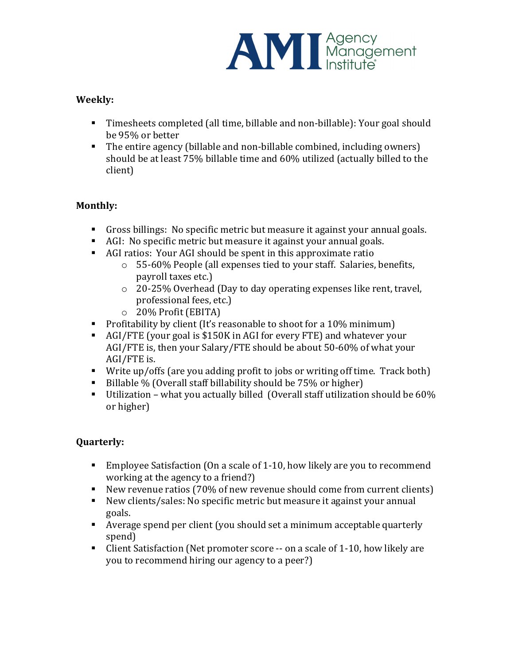

## **Weekly:**

- Timesheets completed (all time, billable and non-billable): Your goal should be 95% or better
- The entire agency (billable and non-billable combined, including owners) should be at least 75% billable time and 60% utilized (actually billed to the client)

## **Monthly:**

- Gross billings: No specific metric but measure it against your annual goals.
- AGI: No specific metric but measure it against your annual goals.
- AGI ratios: Your AGI should be spent in this approximate ratio
	- $\circ$  55-60% People (all expenses tied to your staff. Salaries, benefits, payroll taxes etc.)
	- $\circ$  20-25% Overhead (Day to day operating expenses like rent, travel, professional fees, etc.)
	- $\circ$  20% Profit (EBITA)
- **•** Profitability by client (It's reasonable to shoot for a 10% minimum)
- AGI/FTE (your goal is \$150K in AGI for every FTE) and whatever your AGI/FTE is, then your Salary/FTE should be about 50-60% of what your AGI/FTE is.
- Write up/offs (are you adding profit to jobs or writing off time. Track both)
- Billable % (Overall staff billability should be  $75%$  or higher)
- Utilization what you actually billed (Overall staff utilization should be  $60\%$ ) or higher)

## **Quarterly:**

- Employee Satisfaction (On a scale of 1-10, how likely are you to recommend working at the agency to a friend?)
- New revenue ratios (70% of new revenue should come from current clients)
- New clients/sales: No specific metric but measure it against your annual goals.
- Average spend per client (you should set a minimum acceptable quarterly spend)
- Client Satisfaction (Net promoter score -- on a scale of 1-10, how likely are you to recommend hiring our agency to a peer?)